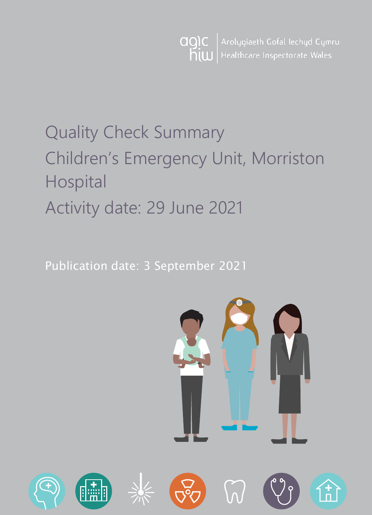Arolygiaeth Gofal Iechyd Cymru agic Healthcare Inspectorate Wales hiw

# Quality Check Summary Children's Emergency Unit, Morriston Hospital Activity date: 29 June 2021

Publication date: 3 September 2021



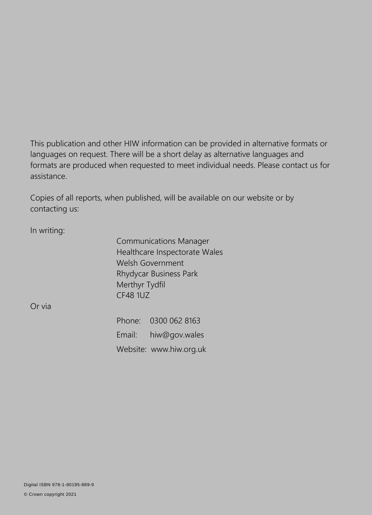This publication and other HIW information can be provided in alternative formats or languages on request. There will be a short delay as alternative languages and formats are produced when requested to meet individual needs. Please contact us for assistance.

Copies of all reports, when published, will be available on our website or by contacting us:

In writing:

Communications Manager Healthcare Inspectorate Wales Welsh Government Rhydycar Business Park Merthyr Tydfil CF48 1UZ

Or via

Phone: 0300 062 8163 Email: [hiw@gov.wales](mailto:hiw@gov.wales) Website: [www.hiw.org.uk](http://www.hiw.org.uk/)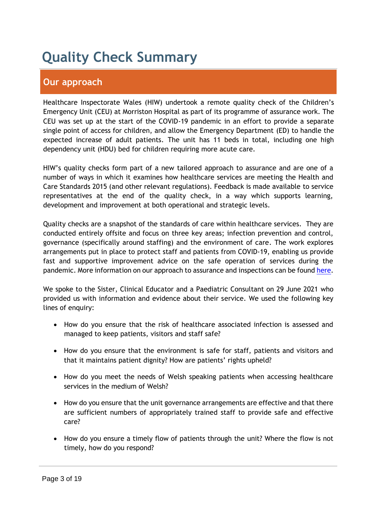## **Quality Check Summary**

## **Our approach**

Healthcare Inspectorate Wales (HIW) undertook a remote quality check of the Children's Emergency Unit (CEU) at Morriston Hospital as part of its programme of assurance work. The CEU was set up at the start of the COVID-19 pandemic in an effort to provide a separate single point of access for children, and allow the Emergency Department (ED) to handle the expected increase of adult patients. The unit has 11 beds in total, including one high dependency unit (HDU) bed for children requiring more acute care.

HIW's quality checks form part of a new tailored approach to assurance and are one of a number of ways in which it examines how healthcare services are meeting the Health and Care Standards 2015 (and other relevant regulations). Feedback is made available to service representatives at the end of the quality check, in a way which supports learning, development and improvement at both operational and strategic levels.

Quality checks are a snapshot of the standards of care within healthcare services. They are conducted entirely offsite and focus on three key areas; infection prevention and control, governance (specifically around staffing) and the environment of care. The work explores arrangements put in place to protect staff and patients from COVID-19, enabling us provide fast and supportive improvement advice on the safe operation of services during the pandemic. More information on our approach to assurance and inspections can be found [here.](https://hiw.org.uk/covid-19-response-and-our-approach-assurance-and-inspection)

We spoke to the Sister, Clinical Educator and a Paediatric Consultant on 29 June 2021 who provided us with information and evidence about their service. We used the following key lines of enquiry:

- How do you ensure that the risk of healthcare associated infection is assessed and managed to keep patients, visitors and staff safe?
- How do you ensure that the environment is safe for staff, patients and visitors and that it maintains patient dignity? How are patients' rights upheld?
- How do you meet the needs of Welsh speaking patients when accessing healthcare services in the medium of Welsh?
- How do you ensure that the unit governance arrangements are effective and that there are sufficient numbers of appropriately trained staff to provide safe and effective care?
- How do you ensure a timely flow of patients through the unit? Where the flow is not timely, how do you respond?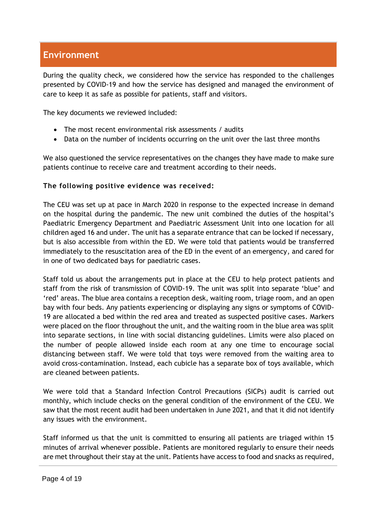## **Environment**

During the quality check, we considered how the service has responded to the challenges presented by COVID-19 and how the service has designed and managed the environment of care to keep it as safe as possible for patients, staff and visitors.

The key documents we reviewed included:

- The most recent environmental risk assessments / audits
- Data on the number of incidents occurring on the unit over the last three months

We also questioned the service representatives on the changes they have made to make sure patients continue to receive care and treatment according to their needs.

#### **The following positive evidence was received:**

The CEU was set up at pace in March 2020 in response to the expected increase in demand on the hospital during the pandemic. The new unit combined the duties of the hospital's Paediatric Emergency Department and Paediatric Assessment Unit into one location for all children aged 16 and under. The unit has a separate entrance that can be locked if necessary, but is also accessible from within the ED. We were told that patients would be transferred immediately to the resuscitation area of the ED in the event of an emergency, and cared for in one of two dedicated bays for paediatric cases.

Staff told us about the arrangements put in place at the CEU to help protect patients and staff from the risk of transmission of COVID-19. The unit was split into separate 'blue' and 'red' areas. The blue area contains a reception desk, waiting room, triage room, and an open bay with four beds. Any patients experiencing or displaying any signs or symptoms of COVID-19 are allocated a bed within the red area and treated as suspected positive cases. Markers were placed on the floor throughout the unit, and the waiting room in the blue area was split into separate sections, in line with social distancing guidelines. Limits were also placed on the number of people allowed inside each room at any one time to encourage social distancing between staff. We were told that toys were removed from the waiting area to avoid cross-contamination. Instead, each cubicle has a separate box of toys available, which are cleaned between patients.

We were told that a Standard Infection Control Precautions (SICPs) audit is carried out monthly, which include checks on the general condition of the environment of the CEU. We saw that the most recent audit had been undertaken in June 2021, and that it did not identify any issues with the environment.

Staff informed us that the unit is committed to ensuring all patients are triaged within 15 minutes of arrival whenever possible. Patients are monitored regularly to ensure their needs are met throughout their stay at the unit. Patients have access to food and snacks as required,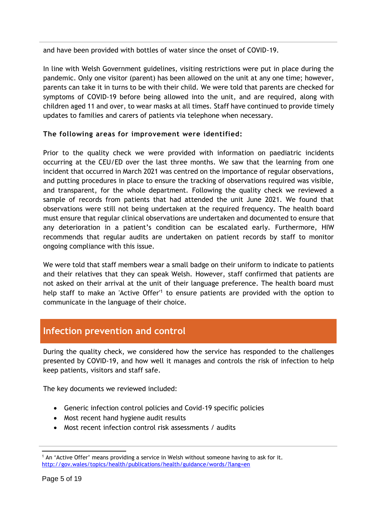and have been provided with bottles of water since the onset of COVID-19.

In line with Welsh Government guidelines, visiting restrictions were put in place during the pandemic. Only one visitor (parent) has been allowed on the unit at any one time; however, parents can take it in turns to be with their child. We were told that parents are checked for symptoms of COVID-19 before being allowed into the unit, and are required, along with children aged 11 and over, to wear masks at all times. Staff have continued to provide timely updates to families and carers of patients via telephone when necessary.

### **The following areas for improvement were identified:**

Prior to the quality check we were provided with information on paediatric incidents occurring at the CEU/ED over the last three months. We saw that the learning from one incident that occurred in March 2021 was centred on the importance of regular observations, and putting procedures in place to ensure the tracking of observations required was visible, and transparent, for the whole department. Following the quality check we reviewed a sample of records from patients that had attended the unit June 2021. We found that observations were still not being undertaken at the required frequency. The health board must ensure that regular clinical observations are undertaken and documented to ensure that any deterioration in a patient's condition can be escalated early. Furthermore, HIW recommends that regular audits are undertaken on patient records by staff to monitor ongoing compliance with this issue.

We were told that staff members wear a small badge on their uniform to indicate to patients and their relatives that they can speak Welsh. However, staff confirmed that patients are not asked on their arrival at the unit of their language preference. The health board must help staff to make an 'Active Offer'<sup>1</sup> to ensure patients are provided with the option to communicate in the language of their choice.

## **Infection prevention and control**

During the quality check, we considered how the service has responded to the challenges presented by COVID-19, and how well it manages and controls the risk of infection to help keep patients, visitors and staff safe.

The key documents we reviewed included:

- Generic infection control policies and Covid-19 specific policies
- Most recent hand hygiene audit results
- Most recent infection control risk assessments / audits

<sup>&</sup>lt;sup>1</sup> An 'Active Offer' means providing a service in Welsh without someone having to ask for it. <http://gov.wales/topics/health/publications/health/guidance/words/?lang=en>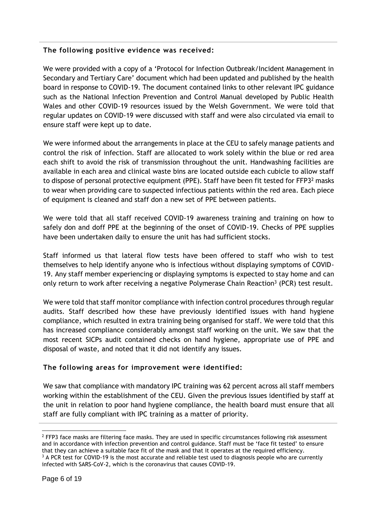### **The following positive evidence was received:**

We were provided with a copy of a 'Protocol for Infection Outbreak/Incident Management in Secondary and Tertiary Care' document which had been updated and published by the health board in response to COVID-19. The document contained links to other relevant IPC guidance such as the National Infection Prevention and Control Manual developed by Public Health Wales and other COVID-19 resources issued by the Welsh Government. We were told that regular updates on COVID-19 were discussed with staff and were also circulated via email to ensure staff were kept up to date.

We were informed about the arrangements in place at the CEU to safely manage patients and control the risk of infection. Staff are allocated to work solely within the blue or red area each shift to avoid the risk of transmission throughout the unit. Handwashing facilities are available in each area and clinical waste bins are located outside each cubicle to allow staff to dispose of personal protective equipment (PPE). Staff have been fit tested for FFP3<sup>2</sup> masks to wear when providing care to suspected infectious patients within the red area. Each piece of equipment is cleaned and staff don a new set of PPE between patients.

We were told that all staff received COVID-19 awareness training and training on how to safely don and doff PPE at the beginning of the onset of COVID-19. Checks of PPE supplies have been undertaken daily to ensure the unit has had sufficient stocks.

Staff informed us that lateral flow tests have been offered to staff who wish to test themselves to help identify anyone who is infectious without displaying symptoms of COVID-19. Any staff member experiencing or displaying symptoms is expected to stay home and can only return to work after receiving a negative Polymerase Chain Reaction<sup>3</sup> (PCR) test result.

We were told that staff monitor compliance with infection control procedures through regular audits. Staff described how these have previously identified issues with hand hygiene compliance, which resulted in extra training being organised for staff. We were told that this has increased compliance considerably amongst staff working on the unit. We saw that the most recent SICPs audit contained checks on hand hygiene, appropriate use of PPE and disposal of waste, and noted that it did not identify any issues.

### **The following areas for improvement were identified:**

We saw that compliance with mandatory IPC training was 62 percent across all staff members working within the establishment of the CEU. Given the previous issues identified by staff at the unit in relation to poor hand hygiene compliance, the health board must ensure that all staff are fully compliant with IPC training as a matter of priority.

 $2$  FFP3 face masks are filtering face masks. They are used in specific circumstances following risk assessment and in accordance with infection prevention and control guidance. Staff must be 'face fit tested' to ensure that they can achieve a suitable face fit of the mask and that it operates at the required efficiency. <sup>3</sup> A PCR test for COVID-19 is the most accurate and reliable test used to diagnosis people who are currently infected with SARS-CoV-2, which is the coronavirus that causes COVID-19.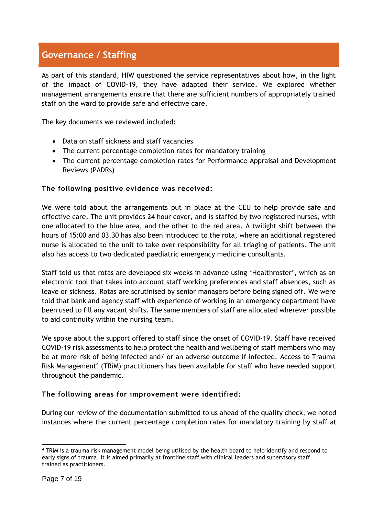## **Governance / Staffing**

As part of this standard, HIW questioned the service representatives about how, in the light of the impact of COVID-19, they have adapted their service. We explored whether management arrangements ensure that there are sufficient numbers of appropriately trained staff on the ward to provide safe and effective care.

The key documents we reviewed included:

- Data on staff sickness and staff vacancies
- The current percentage completion rates for mandatory training
- The current percentage completion rates for Performance Appraisal and Development Reviews (PADRs)

#### **The following positive evidence was received:**

We were told about the arrangements put in place at the CEU to help provide safe and effective care. The unit provides 24 hour cover, and is staffed by two registered nurses, with one allocated to the blue area, and the other to the red area. A twilight shift between the hours of 15:00 and 03.30 has also been introduced to the rota, where an additional registered nurse is allocated to the unit to take over responsibility for all triaging of patients. The unit also has access to two dedicated paediatric emergency medicine consultants.

Staff told us that rotas are developed six weeks in advance using 'Healthroster', which as an electronic tool that takes into account staff working preferences and staff absences, such as leave or sickness. Rotas are scrutinised by senior managers before being signed off. We were told that bank and agency staff with experience of working in an emergency department have been used to fill any vacant shifts. The same members of staff are allocated wherever possible to aid continuity within the nursing team.

We spoke about the support offered to staff since the onset of COVID-19. Staff have received COVID-19 risk assessments to help protect the health and wellbeing of staff members who may be at more risk of being infected and/ or an adverse outcome if infected. Access to Trauma Risk Management<sup>4</sup> (TRiM) practitioners has been available for staff who have needed support throughout the pandemic.

#### **The following areas for improvement were identified:**

During our review of the documentation submitted to us ahead of the quality check, we noted instances where the current percentage completion rates for mandatory training by staff at

<sup>4</sup> TRiM is a trauma risk management model being utilised by the health board to help identify and respond to early signs of trauma. It is aimed primarily at frontline staff with clinical leaders and supervisory staff trained as practitioners.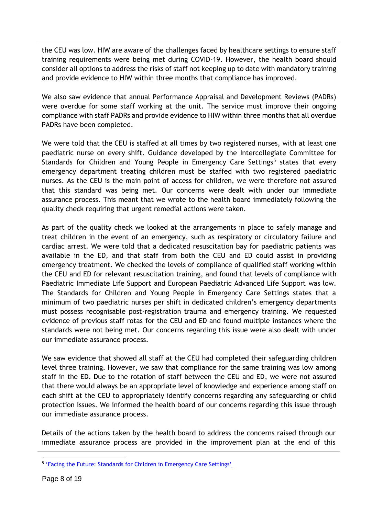the CEU was low. HIW are aware of the challenges faced by healthcare settings to ensure staff training requirements were being met during COVID-19. However, the health board should consider all options to address the risks of staff not keeping up to date with mandatory training and provide evidence to HIW within three months that compliance has improved.

We also saw evidence that annual Performance Appraisal and Development Reviews (PADRs) were overdue for some staff working at the unit. The service must improve their ongoing compliance with staff PADRs and provide evidence to HIW within three months that all overdue PADRs have been completed.

We were told that the CEU is staffed at all times by two registered nurses, with at least one paediatric nurse on every shift. Guidance developed by the Intercollegiate Committee for Standards for Children and Young People in Emergency Care Settings<sup>5</sup> states that every emergency department treating children must be staffed with two registered paediatric nurses. As the CEU is the main point of access for children, we were therefore not assured that this standard was being met. Our concerns were dealt with under our immediate assurance process. This meant that we wrote to the health board immediately following the quality check requiring that urgent remedial actions were taken.

As part of the quality check we looked at the arrangements in place to safely manage and treat children in the event of an emergency, such as respiratory or circulatory failure and cardiac arrest. We were told that a dedicated resuscitation bay for paediatric patients was available in the ED, and that staff from both the CEU and ED could assist in providing emergency treatment. We checked the levels of compliance of qualified staff working within the CEU and ED for relevant resuscitation training, and found that levels of compliance with Paediatric Immediate Life Support and European Paediatric Advanced Life Support was low. The Standards for Children and Young People in Emergency Care Settings states that a minimum of two paediatric nurses per shift in dedicated children's emergency departments must possess recognisable post-registration trauma and emergency training. We requested evidence of previous staff rotas for the CEU and ED and found multiple instances where the standards were not being met. Our concerns regarding this issue were also dealt with under our immediate assurance process.

We saw evidence that showed all staff at the CEU had completed their safeguarding children level three training. However, we saw that compliance for the same training was low among staff in the ED. Due to the rotation of staff between the CEU and ED, we were not assured that there would always be an appropriate level of knowledge and experience among staff on each shift at the CEU to appropriately identify concerns regarding any safeguarding or child protection issues. We informed the health board of our concerns regarding this issue through our immediate assurance process.

Details of the actions taken by the health board to address the concerns raised through our immediate assurance process are provided in the improvement plan at the end of this

<sup>&</sup>lt;sup>5</sup> ['Facing the Future: Standards for Children in Emergency Care Settings'](https://www.rcpch.ac.uk/sites/default/files/2018-06/FTFEC%20Digital%20updated%20final.pdf)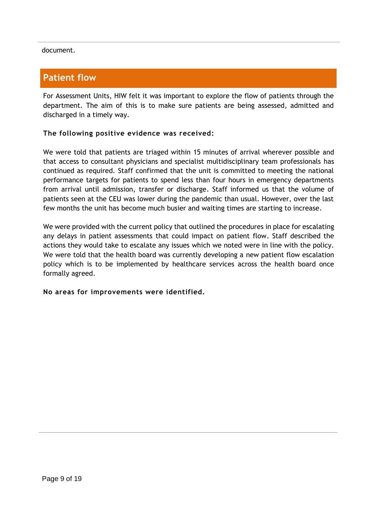document.

## **Patient flow**

For Assessment Units, HIW felt it was important to explore the flow of patients through the department. The aim of this is to make sure patients are being assessed, admitted and discharged in a timely way.

#### **The following positive evidence was received:**

We were told that patients are triaged within 15 minutes of arrival wherever possible and that access to consultant physicians and specialist multidisciplinary team professionals has continued as required. Staff confirmed that the unit is committed to meeting the national performance targets for patients to spend less than four hours in emergency departments from arrival until admission, transfer or discharge. Staff informed us that the volume of patients seen at the CEU was lower during the pandemic than usual. However, over the last few months the unit has become much busier and waiting times are starting to increase.

We were provided with the current policy that outlined the procedures in place for escalating any delays in patient assessments that could impact on patient flow. Staff described the actions they would take to escalate any issues which we noted were in line with the policy. We were told that the health board was currently developing a new patient flow escalation policy which is to be implemented by healthcare services across the health board once formally agreed.

#### **No areas for improvements were identified.**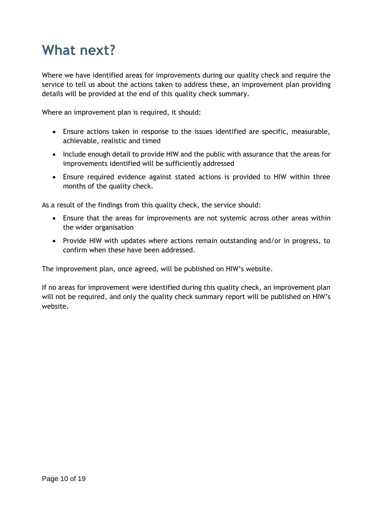## **What next?**

Where we have identified areas for improvements during our quality check and require the service to tell us about the actions taken to address these, an improvement plan providing details will be provided at the end of this quality check summary.

Where an improvement plan is required, it should:

- Ensure actions taken in response to the issues identified are specific, measurable, achievable, realistic and timed
- Include enough detail to provide HIW and the public with assurance that the areas for improvements identified will be sufficiently addressed
- Ensure required evidence against stated actions is provided to HIW within three months of the quality check.

As a result of the findings from this quality check, the service should:

- Ensure that the areas for improvements are not systemic across other areas within the wider organisation
- Provide HIW with updates where actions remain outstanding and/or in progress, to confirm when these have been addressed.

The improvement plan, once agreed, will be published on HIW's website.

If no areas for improvement were identified during this quality check, an improvement plan will not be required, and only the quality check summary report will be published on HIW's website.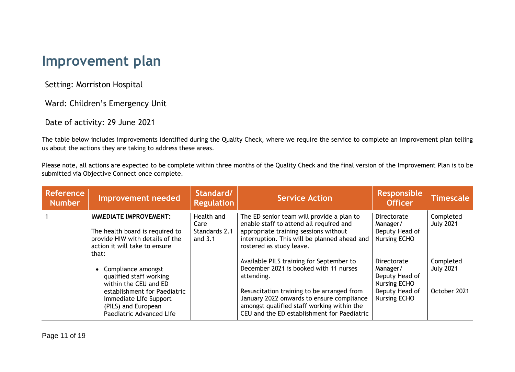## **Improvement plan**

Setting: Morriston Hospital

Ward: Children's Emergency Unit

Date of activity: 29 June 2021

The table below includes improvements identified during the Quality Check, where we require the service to complete an improvement plan telling us about the actions they are taking to address these areas.

Please note, all actions are expected to be complete within three months of the Quality Check and the final version of the Improvement Plan is to be submitted via Objective Connect once complete.

| <b>Reference</b><br><b>Number</b> | Improvement needed                                                                                                                            | Standard/<br><b>Regulation</b>                   | <b>Service Action</b>                                                                                                                                                                                     | <b>Responsible</b><br><b>Officer</b>                                                      | <b>Timescale</b>                              |
|-----------------------------------|-----------------------------------------------------------------------------------------------------------------------------------------------|--------------------------------------------------|-----------------------------------------------------------------------------------------------------------------------------------------------------------------------------------------------------------|-------------------------------------------------------------------------------------------|-----------------------------------------------|
|                                   | <b>IMMEDIATE IMPROVEMENT:</b><br>The health board is required to<br>provide HIW with details of the<br>action it will take to ensure<br>that: | Health and<br>Care<br>Standards 2.1<br>and $3.1$ | The ED senior team will provide a plan to<br>enable staff to attend all required and<br>appropriate training sessions without<br>interruption. This will be planned ahead and<br>rostered as study leave. | Directorate<br>Manager/<br>Deputy Head of<br><b>Nursing ECHO</b>                          | Completed<br><b>July 2021</b>                 |
|                                   | Compliance amongst<br>qualified staff working<br>within the CEU and ED<br>establishment for Paediatric                                        |                                                  | Available PILS training for September to<br>December 2021 is booked with 11 nurses<br>attending.<br>Resuscitation training to be arranged from                                                            | <b>Directorate</b><br>Manager/<br>Deputy Head of<br><b>Nursing ECHO</b><br>Deputy Head of | Completed<br><b>July 2021</b><br>October 2021 |
|                                   | Immediate Life Support<br>(PILS) and European<br>Paediatric Advanced Life                                                                     |                                                  | January 2022 onwards to ensure compliance<br>amongst qualified staff working within the<br>CEU and the ED establishment for Paediatric                                                                    | <b>Nursing ECHO</b>                                                                       |                                               |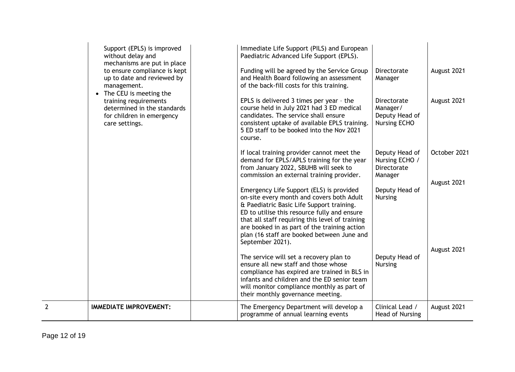|   | Support (EPLS) is improved<br>without delay and<br>mechanisms are put in place                        | Immediate Life Support (PILS) and European<br>Paediatric Advanced Life Support (EPLS).                                                                                                                                                                                                                                                                  |                                                                   |              |
|---|-------------------------------------------------------------------------------------------------------|---------------------------------------------------------------------------------------------------------------------------------------------------------------------------------------------------------------------------------------------------------------------------------------------------------------------------------------------------------|-------------------------------------------------------------------|--------------|
|   | to ensure compliance is kept<br>up to date and reviewed by<br>management.<br>• The CEU is meeting the | Funding will be agreed by the Service Group<br>and Health Board following an assessment<br>of the back-fill costs for this training.                                                                                                                                                                                                                    | Directorate<br>Manager                                            | August 2021  |
|   | training requirements<br>determined in the standards<br>for children in emergency<br>care settings.   | EPLS is delivered 3 times per year - the<br>course held in July 2021 had 3 ED medical<br>candidates. The service shall ensure<br>consistent uptake of available EPLS training.<br>5 ED staff to be booked into the Nov 2021<br>course.                                                                                                                  | Directorate<br>Manager/<br>Deputy Head of<br><b>Nursing ECHO</b>  | August 2021  |
|   |                                                                                                       | If local training provider cannot meet the<br>demand for EPLS/APLS training for the year<br>from January 2022, SBUHB will seek to<br>commission an external training provider.                                                                                                                                                                          | Deputy Head of<br>Nursing ECHO /<br><b>Directorate</b><br>Manager | October 2021 |
|   |                                                                                                       | Emergency Life Support (ELS) is provided<br>on-site every month and covers both Adult<br>& Paediatric Basic Life Support training.<br>ED to utilise this resource fully and ensure<br>that all staff requiring this level of training<br>are booked in as part of the training action<br>plan (16 staff are booked between June and<br>September 2021). | Deputy Head of<br><b>Nursing</b>                                  | August 2021  |
|   |                                                                                                       | The service will set a recovery plan to<br>ensure all new staff and those whose<br>compliance has expired are trained in BLS in<br>infants and children and the ED senior team<br>will monitor compliance monthly as part of<br>their monthly governance meeting.                                                                                       | Deputy Head of<br><b>Nursing</b>                                  | August 2021  |
| 2 | <b>IMMEDIATE IMPROVEMENT:</b>                                                                         | The Emergency Department will develop a<br>programme of annual learning events                                                                                                                                                                                                                                                                          | Clinical Lead /<br>Head of Nursing                                | August 2021  |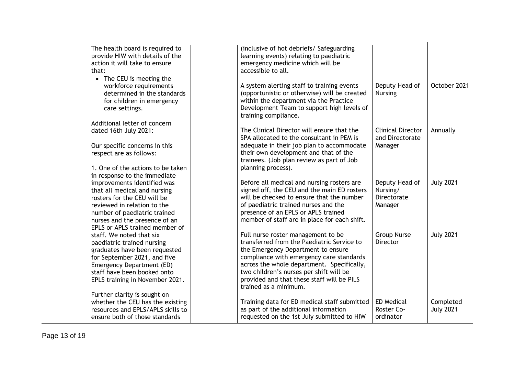| The health board is required to |  |
|---------------------------------|--|
| provide HIW with details of the |  |
| action it will take to ensure   |  |
| that:                           |  |

• The CEU is meeting the workforce requirement determined in the stan for children in emergen care settings.

Additional letter of concern dated 16th July 2021:

Our specific concerns in thi respect are as follows:

1. One of the actions to be in response to the immedia improvements identified w that all medical and nursing rosters for the CEU will be reviewed in relation to the number of paediatric traine nurses and the presence of EPLS or APLS trained memb staff. We noted that six paediatric trained nursing graduates have been reque for September 2021, and fi Emergency Department (ED) staff have been booked ont EPLS training in November

Further clarity is sought on whether the CEU has the exresources and EPLS/APLS sk ensure both of those standa

| ed to<br>f the<br>e                         | (inclusive of hot debriefs/ Safeguarding)<br>learning events) relating to paediatric<br>emergency medicine which will be<br>accessible to all.                                                                                                                                                                                     |                                                      |                               |
|---------------------------------------------|------------------------------------------------------------------------------------------------------------------------------------------------------------------------------------------------------------------------------------------------------------------------------------------------------------------------------------|------------------------------------------------------|-------------------------------|
| e<br>ts<br>dards<br>ncy!                    | A system alerting staff to training events<br>(opportunistic or otherwise) will be created<br>within the department via the Practice<br>Development Team to support high levels of<br>training compliance.                                                                                                                         | Deputy Head of<br><b>Nursing</b>                     | October 2021                  |
| 'n                                          | The Clinical Director will ensure that the<br>SPA allocated to the consultant in PEM is                                                                                                                                                                                                                                            | <b>Clinical Director</b><br>and Directorate          | Annually                      |
| is                                          | adequate in their job plan to accommodate<br>their own development and that of the<br>trainees. (Job plan review as part of Job                                                                                                                                                                                                    | Manager                                              |                               |
| etaken :<br>ate                             | planning process).                                                                                                                                                                                                                                                                                                                 |                                                      |                               |
| as<br>ıg<br>ed<br>f an                      | Before all medical and nursing rosters are<br>signed off, the CEU and the main ED rosters<br>will be checked to ensure that the number<br>of paediatric trained nurses and the<br>presence of an EPLS or APLS trained<br>member of staff are in place for each shift.                                                              | Deputy Head of<br>Nursing/<br>Directorate<br>Manager | <b>July 2021</b>              |
| ber of<br>ested<br>ive<br>D)<br>to<br>2021. | Full nurse roster management to be<br>transferred from the Paediatric Service to<br>the Emergency Department to ensure<br>compliance with emergency care standards<br>across the whole department. Specifically,<br>two children's nurses per shift will be<br>provided and that these staff will be PILS<br>trained as a minimum. | <b>Group Nurse</b><br><b>Director</b>                | <b>July 2021</b>              |
| xisting<br>kills to<br>ards                 | Training data for ED medical staff submitted<br>as part of the additional information<br>requested on the 1st July submitted to HIW                                                                                                                                                                                                | <b>ED Medical</b><br>Roster Co-<br>ordinator         | Completed<br><b>July 2021</b> |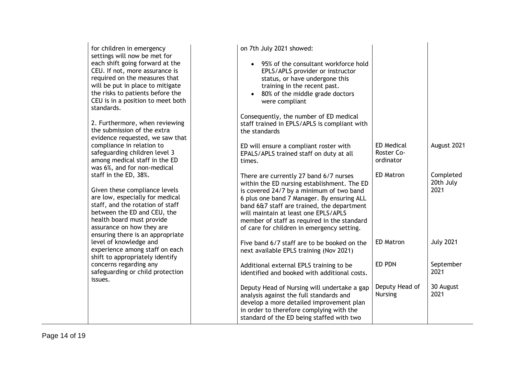| for children in emergency<br>settings will now be met for<br>each shift going forward at the<br>CEU. If not, more assurance is<br>required on the measures that<br>will be put in place to mitigate<br>the risks to patients before the<br>CEU is in a position to meet both<br>standards. | on 7th July 2021 showed:<br>95% of the consultant workforce hold<br>$\bullet$<br>EPLS/APLS provider or instructor<br>status, or have undergone this<br>training in the recent past.<br>80% of the middle grade doctors<br>$\bullet$<br>were compliant                                                                                                              |                                              |                                |
|--------------------------------------------------------------------------------------------------------------------------------------------------------------------------------------------------------------------------------------------------------------------------------------------|--------------------------------------------------------------------------------------------------------------------------------------------------------------------------------------------------------------------------------------------------------------------------------------------------------------------------------------------------------------------|----------------------------------------------|--------------------------------|
| 2. Furthermore, when reviewing<br>the submission of the extra<br>evidence requested, we saw that                                                                                                                                                                                           | Consequently, the number of ED medical<br>staff trained in EPLS/APLS is compliant with<br>the standards                                                                                                                                                                                                                                                            |                                              |                                |
| compliance in relation to<br>safeguarding children level 3<br>among medical staff in the ED<br>was 6%, and for non-medical                                                                                                                                                                 | ED will ensure a compliant roster with<br>EPALS/APLS trained staff on duty at all<br>times.                                                                                                                                                                                                                                                                        | <b>ED Medical</b><br>Roster Co-<br>ordinator | August 2021                    |
| staff in the ED, 38%.<br>Given these compliance levels<br>are low, especially for medical<br>staff, and the rotation of staff<br>between the ED and CEU, the<br>health board must provide<br>assurance on how they are<br>ensuring there is an appropriate                                 | There are currently 27 band 6/7 nurses<br>within the ED nursing establishment. The ED<br>is covered 24/7 by a minimum of two band<br>6 plus one band 7 Manager. By ensuring ALL<br>band 6&7 staff are trained, the department<br>will maintain at least one EPLS/APLS<br>member of staff as required in the standard<br>of care for children in emergency setting. | <b>ED Matron</b>                             | Completed<br>20th July<br>2021 |
| level of knowledge and<br>experience among staff on each<br>shift to appropriately identify                                                                                                                                                                                                | Five band 6/7 staff are to be booked on the<br>next available EPLS training (Nov 2021)                                                                                                                                                                                                                                                                             | <b>ED Matron</b>                             | <b>July 2021</b>               |
| concerns regarding any<br>safeguarding or child protection<br>issues.                                                                                                                                                                                                                      | Additional external EPLS training to be<br>identified and booked with additional costs.                                                                                                                                                                                                                                                                            | ED PDN                                       | September<br>2021              |
|                                                                                                                                                                                                                                                                                            | Deputy Head of Nursing will undertake a gap<br>analysis against the full standards and<br>develop a more detailed improvement plan<br>in order to therefore complying with the<br>standard of the ED being staffed with two                                                                                                                                        | Deputy Head of<br><b>Nursing</b>             | 30 August<br>2021              |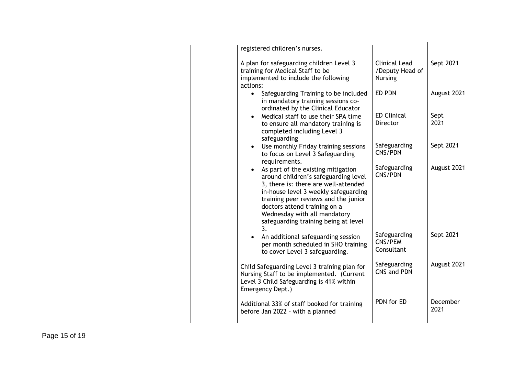| registered children's nurses.                                                                                                                                                                                                                                                                              |                                                           |                  |
|------------------------------------------------------------------------------------------------------------------------------------------------------------------------------------------------------------------------------------------------------------------------------------------------------------|-----------------------------------------------------------|------------------|
| A plan for safeguarding children Level 3<br>training for Medical Staff to be<br>implemented to include the following<br>actions:                                                                                                                                                                           | <b>Clinical Lead</b><br>/Deputy Head of<br><b>Nursing</b> | Sept 2021        |
| • Safeguarding Training to be included<br>in mandatory training sessions co-<br>ordinated by the Clinical Educator                                                                                                                                                                                         | ED PDN                                                    | August 2021      |
| Medical staff to use their SPA time<br>to ensure all mandatory training is<br>completed including Level 3<br>safeguarding                                                                                                                                                                                  | <b>ED Clinical</b><br><b>Director</b>                     | Sept<br>2021     |
| Use monthly Friday training sessions<br>$\bullet$<br>to focus on Level 3 Safeguarding<br>requirements.                                                                                                                                                                                                     | Safeguarding<br>CNS/PDN                                   | Sept 2021        |
| As part of the existing mitigation<br>around children's safeguarding level<br>3, there is: there are well-attended<br>in-house level 3 weekly safeguarding<br>training peer reviews and the junior<br>doctors attend training on a<br>Wednesday with all mandatory<br>safeguarding training being at level | Safeguarding<br>CNS/PDN                                   | August 2021      |
| 3.<br>An additional safeguarding session<br>per month scheduled in SHO training<br>to cover Level 3 safeguarding.                                                                                                                                                                                          | Safeguarding<br>CNS/PEM<br>Consultant                     | Sept 2021        |
| Child Safeguarding Level 3 training plan for<br>Nursing Staff to be implemented. (Current<br>Level 3 Child Safeguarding is 41% within<br>Emergency Dept.)                                                                                                                                                  | Safeguarding<br>CNS and PDN                               | August 2021      |
| Additional 33% of staff booked for training<br>before Jan 2022 - with a planned                                                                                                                                                                                                                            | PDN for ED                                                | December<br>2021 |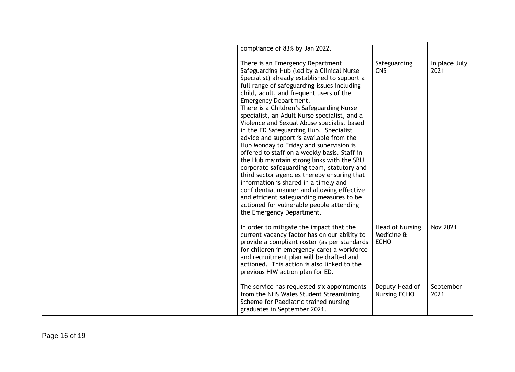|  | compliance of 83% by Jan 2022.                                                                                                                                                                                                                                                                                                                                                                                                                                                                                                                                                                                                                                                                                                                                                                                                                                                                                                      |                                              |                       |
|--|-------------------------------------------------------------------------------------------------------------------------------------------------------------------------------------------------------------------------------------------------------------------------------------------------------------------------------------------------------------------------------------------------------------------------------------------------------------------------------------------------------------------------------------------------------------------------------------------------------------------------------------------------------------------------------------------------------------------------------------------------------------------------------------------------------------------------------------------------------------------------------------------------------------------------------------|----------------------------------------------|-----------------------|
|  | There is an Emergency Department<br>Safeguarding Hub (led by a Clinical Nurse<br>Specialist) already established to support a<br>full range of safeguarding issues including<br>child, adult, and frequent users of the<br>Emergency Department.<br>There is a Children's Safeguarding Nurse<br>specialist, an Adult Nurse specialist, and a<br>Violence and Sexual Abuse specialist based<br>in the ED Safeguarding Hub. Specialist<br>advice and support is available from the<br>Hub Monday to Friday and supervision is<br>offered to staff on a weekly basis. Staff in<br>the Hub maintain strong links with the SBU<br>corporate safeguarding team, statutory and<br>third sector agencies thereby ensuring that<br>information is shared in a timely and<br>confidential manner and allowing effective<br>and efficient safeguarding measures to be<br>actioned for vulnerable people attending<br>the Emergency Department. | Safeguarding<br><b>CNS</b>                   | In place July<br>2021 |
|  | In order to mitigate the impact that the<br>current vacancy factor has on our ability to<br>provide a compliant roster (as per standards<br>for children in emergency care) a workforce<br>and recruitment plan will be drafted and<br>actioned. This action is also linked to the<br>previous HIW action plan for ED.                                                                                                                                                                                                                                                                                                                                                                                                                                                                                                                                                                                                              | Head of Nursing<br>Medicine &<br><b>ECHO</b> | <b>Nov 2021</b>       |
|  | The service has requested six appointments<br>from the NHS Wales Student Streamlining<br>Scheme for Paediatric trained nursing<br>graduates in September 2021.                                                                                                                                                                                                                                                                                                                                                                                                                                                                                                                                                                                                                                                                                                                                                                      | Deputy Head of<br><b>Nursing ECHO</b>        | September<br>2021     |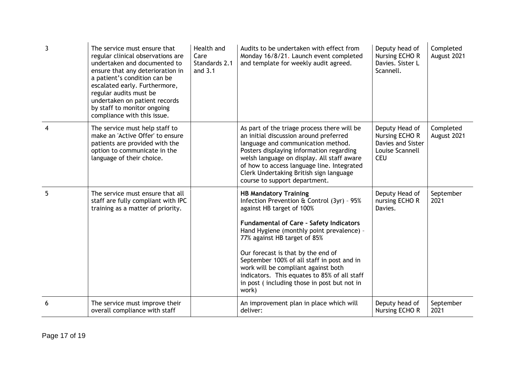| $\overline{3}$ | The service must ensure that<br>regular clinical observations are<br>undertaken and documented to<br>ensure that any deterioration in<br>a patient's condition can be<br>escalated early. Furthermore,<br>regular audits must be<br>undertaken on patient records<br>by staff to monitor ongoing<br>compliance with this issue. | Health and<br>Care<br>Standards 2.1<br>and $3.1$ | Audits to be undertaken with effect from<br>Monday 16/8/21. Launch event completed<br>and template for weekly audit agreed.                                                                                                                                                                                                                                                                                                                                               | Deputy head of<br>Nursing ECHO R<br>Davies. Sister L<br>Scannell.                      | Completed<br>August 2021 |
|----------------|---------------------------------------------------------------------------------------------------------------------------------------------------------------------------------------------------------------------------------------------------------------------------------------------------------------------------------|--------------------------------------------------|---------------------------------------------------------------------------------------------------------------------------------------------------------------------------------------------------------------------------------------------------------------------------------------------------------------------------------------------------------------------------------------------------------------------------------------------------------------------------|----------------------------------------------------------------------------------------|--------------------------|
| 4              | The service must help staff to<br>make an 'Active Offer' to ensure<br>patients are provided with the<br>option to communicate in the<br>language of their choice.                                                                                                                                                               |                                                  | As part of the triage process there will be<br>an initial discussion around preferred<br>language and communication method.<br>Posters displaying information regarding<br>welsh language on display. All staff aware<br>of how to access language line. Integrated<br>Clerk Undertaking British sign language<br>course to support department.                                                                                                                           | Deputy Head of<br>Nursing ECHO R<br>Davies and Sister<br>Louise Scannell<br><b>CEU</b> | Completed<br>August 2021 |
| 5              | The service must ensure that all<br>staff are fully compliant with IPC<br>training as a matter of priority.                                                                                                                                                                                                                     |                                                  | <b>HB Mandatory Training</b><br>Infection Prevention & Control (3yr) - 95%<br>against HB target of 100%<br><b>Fundamental of Care - Safety Indicators</b><br>Hand Hygiene (monthly point prevalence) -<br>77% against HB target of 85%<br>Our forecast is that by the end of<br>September 100% of all staff in post and in<br>work will be compliant against both<br>indicators. This equates to 85% of all staff<br>in post (including those in post but not in<br>work) | Deputy Head of<br>nursing ECHO R<br>Davies.                                            | September<br>2021        |
| 6              | The service must improve their<br>overall compliance with staff                                                                                                                                                                                                                                                                 |                                                  | An improvement plan in place which will<br>deliver:                                                                                                                                                                                                                                                                                                                                                                                                                       | Deputy head of<br>Nursing ECHO R                                                       | September<br>2021        |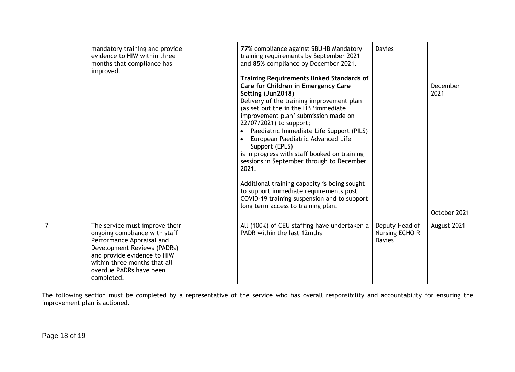|                | mandatory training and provide<br>evidence to HIW within three<br>months that compliance has<br>improved.                                                                                                                           | 77% compliance against SBUHB Mandatory<br>training requirements by September 2021<br>and 85% compliance by December 2021.<br><b>Training Requirements linked Standards of</b><br>Care for Children in Emergency Care<br>Setting (Jun2018)<br>Delivery of the training improvement plan<br>(as set out the in the HB 'immediate<br>improvement plan' submission made on<br>22/07/2021) to support;<br>Paediatric Immediate Life Support (PILS)<br>European Paediatric Advanced Life<br>$\bullet$<br>Support (EPLS)<br>is in progress with staff booked on training<br>sessions in September through to December<br>2021.<br>Additional training capacity is being sought<br>to support immediate requirements post<br>COVID-19 training suspension and to support | <b>Davies</b>                                     | December<br>2021 |
|----------------|-------------------------------------------------------------------------------------------------------------------------------------------------------------------------------------------------------------------------------------|------------------------------------------------------------------------------------------------------------------------------------------------------------------------------------------------------------------------------------------------------------------------------------------------------------------------------------------------------------------------------------------------------------------------------------------------------------------------------------------------------------------------------------------------------------------------------------------------------------------------------------------------------------------------------------------------------------------------------------------------------------------|---------------------------------------------------|------------------|
|                |                                                                                                                                                                                                                                     | long term access to training plan.                                                                                                                                                                                                                                                                                                                                                                                                                                                                                                                                                                                                                                                                                                                               |                                                   | October 2021     |
| $\overline{7}$ | The service must improve their<br>ongoing compliance with staff<br>Performance Appraisal and<br>Development Reviews (PADRs)<br>and provide evidence to HIW<br>within three months that all<br>overdue PADRs have been<br>completed. | All (100%) of CEU staffing have undertaken a<br>PADR within the last 12mths                                                                                                                                                                                                                                                                                                                                                                                                                                                                                                                                                                                                                                                                                      | Deputy Head of<br>Nursing ECHO R<br><b>Davies</b> | August 2021      |

The following section must be completed by a representative of the service who has overall responsibility and accountability for ensuring the improvement plan is actioned.